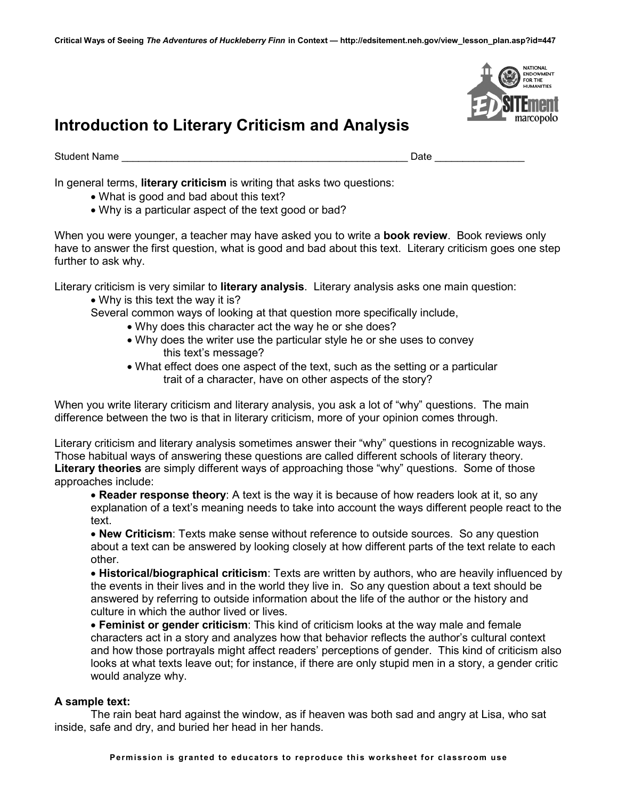

# **Introduction to Literary Criticism and Analysis**

Student Name \_\_\_\_\_\_\_\_\_\_\_\_\_\_\_\_\_\_\_\_\_\_\_\_\_\_\_\_\_\_\_\_\_\_\_\_\_\_\_\_\_\_\_\_\_\_\_\_\_\_\_ Date \_\_\_\_\_\_\_\_\_\_\_\_\_\_\_\_

In general terms, **literary criticism** is writing that asks two questions:

- What is good and bad about this text?
- Why is a particular aspect of the text good or bad?

When you were younger, a teacher may have asked you to write a **book review**. Book reviews only have to answer the first question, what is good and bad about this text. Literary criticism goes one step further to ask why.

Literary criticism is very similar to **literary analysis**. Literary analysis asks one main question:

- Why is this text the way it is?
- Several common ways of looking at that question more specifically include,
	- Why does this character act the way he or she does?
		- Why does the writer use the particular style he or she uses to convey this text's message?
		- What effect does one aspect of the text, such as the setting or a particular trait of a character, have on other aspects of the story?

When you write literary criticism and literary analysis, you ask a lot of "why" questions. The main difference between the two is that in literary criticism, more of your opinion comes through.

Literary criticism and literary analysis sometimes answer their "why" questions in recognizable ways. Those habitual ways of answering these questions are called different schools of literary theory. **Literary theories** are simply different ways of approaching those "why" questions. Some of those approaches include:

 **Reader response theory**: A text is the way it is because of how readers look at it, so any explanation of a text's meaning needs to take into account the ways different people react to the text.

 **New Criticism**: Texts make sense without reference to outside sources. So any question about a text can be answered by looking closely at how different parts of the text relate to each other.

 **Historical/biographical criticism**: Texts are written by authors, who are heavily influenced by the events in their lives and in the world they live in. So any question about a text should be answered by referring to outside information about the life of the author or the history and culture in which the author lived or lives.

 **Feminist or gender criticism**: This kind of criticism looks at the way male and female characters act in a story and analyzes how that behavior reflects the author's cultural context and how those portrayals might affect readers' perceptions of gender. This kind of criticism also looks at what texts leave out; for instance, if there are only stupid men in a story, a gender critic would analyze why.

# **A sample text:**

The rain beat hard against the window, as if heaven was both sad and angry at Lisa, who sat inside, safe and dry, and buried her head in her hands.